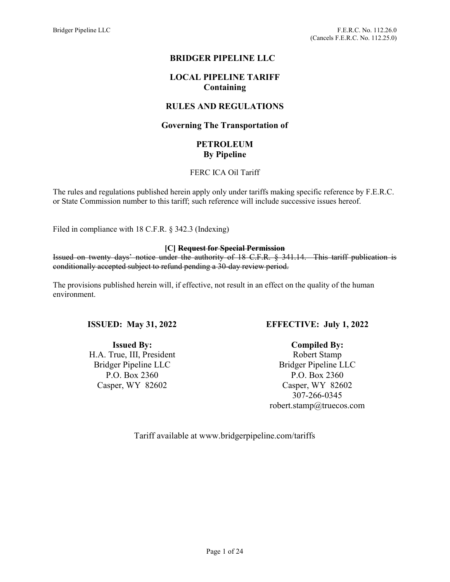# BRIDGER PIPELINE LLC

# LOCAL PIPELINE TARIFF Containing

# RULES AND REGULATIONS

# Governing The Transportation of

# PETROLEUM By Pipeline

### FERC ICA Oil Tariff

The rules and regulations published herein apply only under tariffs making specific reference by F.E.R.C. or State Commission number to this tariff; such reference will include successive issues hereof.

Filed in compliance with 18 C.F.R. § 342.3 (Indexing)

### [C] Request for Special Permission

Issued on twenty days' notice under the authority of 18 C.F.R. § 341.14. This tariff publication is conditionally accepted subject to refund pending a 30-day review period.

The provisions published herein will, if effective, not result in an effect on the quality of the human environment.

## ISSUED: May 31, 2022

Issued By: H.A. True, III, President Bridger Pipeline LLC P.O. Box 2360 Casper, WY 82602

# EFFECTIVE: July 1, 2022

Compiled By:

Robert Stamp Bridger Pipeline LLC P.O. Box 2360 Casper, WY 82602 307-266-0345 robert.stamp@truecos.com

Tariff available at www.bridgerpipeline.com/tariffs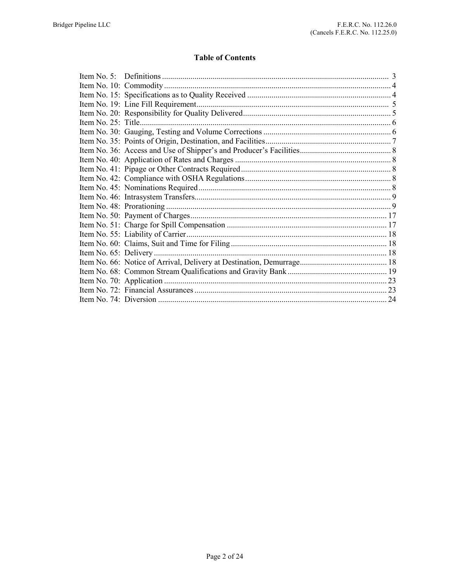# **Table of Contents**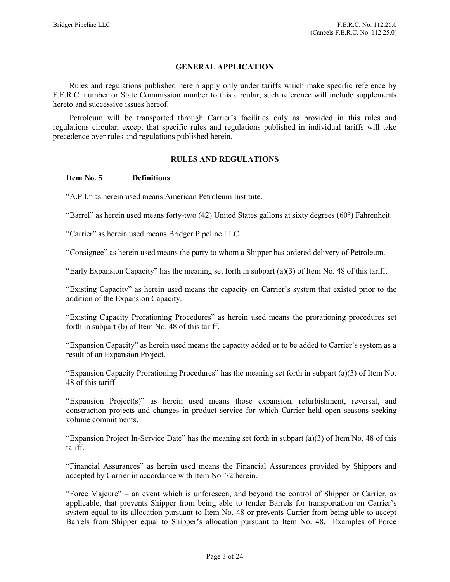### GENERAL APPLICATION

 Rules and regulations published herein apply only under tariffs which make specific reference by F.E.R.C. number or State Commission number to this circular; such reference will include supplements hereto and successive issues hereof.

 Petroleum will be transported through Carrier's facilities only as provided in this rules and regulations circular, except that specific rules and regulations published in individual tariffs will take precedence over rules and regulations published herein.

### RULES AND REGULATIONS

### Item No. 5 Definitions

"A.P.I." as herein used means American Petroleum Institute.

"Barrel" as herein used means forty-two (42) United States gallons at sixty degrees (60°) Fahrenheit.

"Carrier" as herein used means Bridger Pipeline LLC.

"Consignee" as herein used means the party to whom a Shipper has ordered delivery of Petroleum.

"Early Expansion Capacity" has the meaning set forth in subpart (a)(3) of Item No. 48 of this tariff.

"Existing Capacity" as herein used means the capacity on Carrier's system that existed prior to the addition of the Expansion Capacity.

"Existing Capacity Prorationing Procedures" as herein used means the prorationing procedures set forth in subpart (b) of Item No. 48 of this tariff.

"Expansion Capacity" as herein used means the capacity added or to be added to Carrier's system as a result of an Expansion Project.

"Expansion Capacity Prorationing Procedures" has the meaning set forth in subpart (a)(3) of Item No. 48 of this tariff

"Expansion Project(s)" as herein used means those expansion, refurbishment, reversal, and construction projects and changes in product service for which Carrier held open seasons seeking volume commitments.

"Expansion Project In-Service Date" has the meaning set forth in subpart  $(a)(3)$  of Item No. 48 of this tariff.

"Financial Assurances" as herein used means the Financial Assurances provided by Shippers and accepted by Carrier in accordance with Item No. 72 herein.

"Force Majeure" – an event which is unforeseen, and beyond the control of Shipper or Carrier, as applicable, that prevents Shipper from being able to tender Barrels for transportation on Carrier's system equal to its allocation pursuant to Item No. 48 or prevents Carrier from being able to accept Barrels from Shipper equal to Shipper's allocation pursuant to Item No. 48. Examples of Force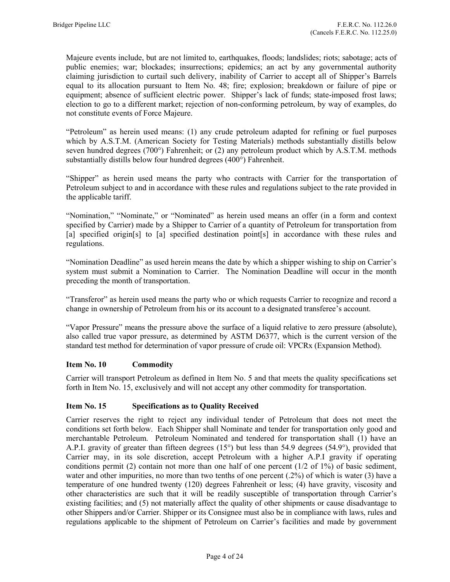Majeure events include, but are not limited to, earthquakes, floods; landslides; riots; sabotage; acts of public enemies; war; blockades; insurrections; epidemics; an act by any governmental authority claiming jurisdiction to curtail such delivery, inability of Carrier to accept all of Shipper's Barrels equal to its allocation pursuant to Item No. 48; fire; explosion; breakdown or failure of pipe or equipment; absence of sufficient electric power. Shipper's lack of funds; state-imposed frost laws; election to go to a different market; rejection of non-conforming petroleum, by way of examples, do not constitute events of Force Majeure.

"Petroleum" as herein used means: (1) any crude petroleum adapted for refining or fuel purposes which by A.S.T.M. (American Society for Testing Materials) methods substantially distills below seven hundred degrees (700°) Fahrenheit; or (2) any petroleum product which by A.S.T.M. methods substantially distills below four hundred degrees (400°) Fahrenheit.

"Shipper" as herein used means the party who contracts with Carrier for the transportation of Petroleum subject to and in accordance with these rules and regulations subject to the rate provided in the applicable tariff.

"Nomination," "Nominate," or "Nominated" as herein used means an offer (in a form and context specified by Carrier) made by a Shipper to Carrier of a quantity of Petroleum for transportation from [a] specified origin[s] to [a] specified destination point[s] in accordance with these rules and regulations.

"Nomination Deadline" as used herein means the date by which a shipper wishing to ship on Carrier's system must submit a Nomination to Carrier. The Nomination Deadline will occur in the month preceding the month of transportation.

"Transferor" as herein used means the party who or which requests Carrier to recognize and record a change in ownership of Petroleum from his or its account to a designated transferee's account.

"Vapor Pressure" means the pressure above the surface of a liquid relative to zero pressure (absolute), also called true vapor pressure, as determined by ASTM D6377, which is the current version of the standard test method for determination of vapor pressure of crude oil: VPCRx (Expansion Method).

## Item No. 10 Commodity

Carrier will transport Petroleum as defined in Item No. 5 and that meets the quality specifications set forth in Item No. 15, exclusively and will not accept any other commodity for transportation.

#### Item No. 15 Specifications as to Quality Received

Carrier reserves the right to reject any individual tender of Petroleum that does not meet the conditions set forth below. Each Shipper shall Nominate and tender for transportation only good and merchantable Petroleum. Petroleum Nominated and tendered for transportation shall (1) have an A.P.I. gravity of greater than fifteen degrees (15°) but less than 54.9 degrees (54.9°), provided that Carrier may, in its sole discretion, accept Petroleum with a higher A.P.I gravity if operating conditions permit (2) contain not more than one half of one percent  $(1/2 \text{ of } 1\%)$  of basic sediment, water and other impurities, no more than two tenths of one percent (.2%) of which is water (3) have a temperature of one hundred twenty (120) degrees Fahrenheit or less; (4) have gravity, viscosity and other characteristics are such that it will be readily susceptible of transportation through Carrier's existing facilities; and (5) not materially affect the quality of other shipments or cause disadvantage to other Shippers and/or Carrier. Shipper or its Consignee must also be in compliance with laws, rules and regulations applicable to the shipment of Petroleum on Carrier's facilities and made by government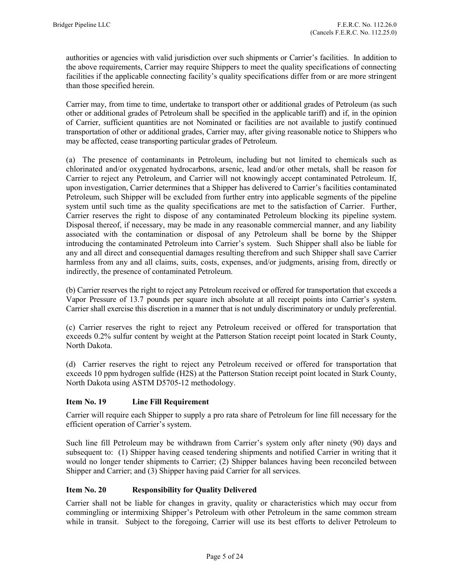authorities or agencies with valid jurisdiction over such shipments or Carrier's facilities. In addition to the above requirements, Carrier may require Shippers to meet the quality specifications of connecting facilities if the applicable connecting facility's quality specifications differ from or are more stringent than those specified herein.

Carrier may, from time to time, undertake to transport other or additional grades of Petroleum (as such other or additional grades of Petroleum shall be specified in the applicable tariff) and if, in the opinion of Carrier, sufficient quantities are not Nominated or facilities are not available to justify continued transportation of other or additional grades, Carrier may, after giving reasonable notice to Shippers who may be affected, cease transporting particular grades of Petroleum.

(a) The presence of contaminants in Petroleum, including but not limited to chemicals such as chlorinated and/or oxygenated hydrocarbons, arsenic, lead and/or other metals, shall be reason for Carrier to reject any Petroleum, and Carrier will not knowingly accept contaminated Petroleum. If, upon investigation, Carrier determines that a Shipper has delivered to Carrier's facilities contaminated Petroleum, such Shipper will be excluded from further entry into applicable segments of the pipeline system until such time as the quality specifications are met to the satisfaction of Carrier. Further, Carrier reserves the right to dispose of any contaminated Petroleum blocking its pipeline system. Disposal thereof, if necessary, may be made in any reasonable commercial manner, and any liability associated with the contamination or disposal of any Petroleum shall be borne by the Shipper introducing the contaminated Petroleum into Carrier's system. Such Shipper shall also be liable for any and all direct and consequential damages resulting therefrom and such Shipper shall save Carrier harmless from any and all claims, suits, costs, expenses, and/or judgments, arising from, directly or indirectly, the presence of contaminated Petroleum.

(b) Carrier reserves the right to reject any Petroleum received or offered for transportation that exceeds a Vapor Pressure of 13.7 pounds per square inch absolute at all receipt points into Carrier's system. Carrier shall exercise this discretion in a manner that is not unduly discriminatory or unduly preferential.

(c) Carrier reserves the right to reject any Petroleum received or offered for transportation that exceeds 0.2% sulfur content by weight at the Patterson Station receipt point located in Stark County, North Dakota.

(d) Carrier reserves the right to reject any Petroleum received or offered for transportation that exceeds 10 ppm hydrogen sulfide (H2S) at the Patterson Station receipt point located in Stark County, North Dakota using ASTM D5705-12 methodology.

# Item No. 19 Line Fill Requirement

Carrier will require each Shipper to supply a pro rata share of Petroleum for line fill necessary for the efficient operation of Carrier's system.

Such line fill Petroleum may be withdrawn from Carrier's system only after ninety (90) days and subsequent to: (1) Shipper having ceased tendering shipments and notified Carrier in writing that it would no longer tender shipments to Carrier; (2) Shipper balances having been reconciled between Shipper and Carrier; and (3) Shipper having paid Carrier for all services.

## Item No. 20 Responsibility for Quality Delivered

Carrier shall not be liable for changes in gravity, quality or characteristics which may occur from commingling or intermixing Shipper's Petroleum with other Petroleum in the same common stream while in transit. Subject to the foregoing, Carrier will use its best efforts to deliver Petroleum to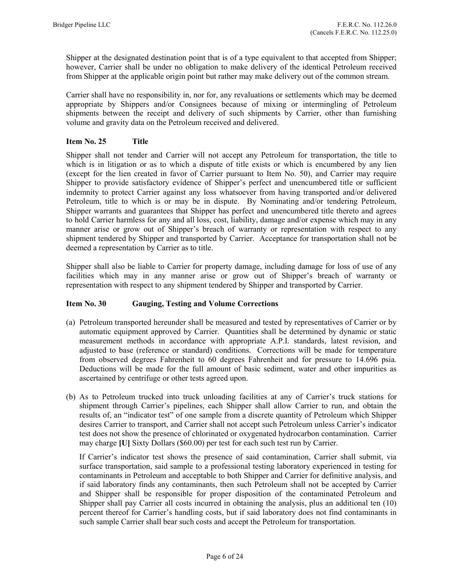Shipper at the designated destination point that is of a type equivalent to that accepted from Shipper; however, Carrier shall be under no obligation to make delivery of the identical Petroleum received from Shipper at the applicable origin point but rather may make delivery out of the common stream.

Carrier shall have no responsibility in, nor for, any revaluations or settlements which may be deemed appropriate by Shippers and/or Consignees because of mixing or intermingling of Petroleum shipments between the receipt and delivery of such shipments by Carrier, other than furnishing volume and gravity data on the Petroleum received and delivered.

# Item No. 25 Title

Shipper shall not tender and Carrier will not accept any Petroleum for transportation, the title to which is in litigation or as to which a dispute of title exists or which is encumbered by any lien (except for the lien created in favor of Carrier pursuant to Item No. 50), and Carrier may require Shipper to provide satisfactory evidence of Shipper's perfect and unencumbered title or sufficient indemnity to protect Carrier against any loss whatsoever from having transported and/or delivered Petroleum, title to which is or may be in dispute. By Nominating and/or tendering Petroleum, Shipper warrants and guarantees that Shipper has perfect and unencumbered title thereto and agrees to hold Carrier harmless for any and all loss, cost, liability, damage and/or expense which may in any manner arise or grow out of Shipper's breach of warranty or representation with respect to any shipment tendered by Shipper and transported by Carrier. Acceptance for transportation shall not be deemed a representation by Carrier as to title.

Shipper shall also be liable to Carrier for property damage, including damage for loss of use of any facilities which may in any manner arise or grow out of Shipper's breach of warranty or representation with respect to any shipment tendered by Shipper and transported by Carrier.

## Item No. 30 Gauging, Testing and Volume Corrections

- (a) Petroleum transported hereunder shall be measured and tested by representatives of Carrier or by automatic equipment approved by Carrier. Quantities shall be determined by dynamic or static measurement methods in accordance with appropriate A.P.I. standards, latest revision, and adjusted to base (reference or standard) conditions. Corrections will be made for temperature from observed degrees Fahrenheit to 60 degrees Fahrenheit and for pressure to 14.696 psia. Deductions will be made for the full amount of basic sediment, water and other impurities as ascertained by centrifuge or other tests agreed upon.
- (b) As to Petroleum trucked into truck unloading facilities at any of Carrier's truck stations for shipment through Carrier's pipelines, each Shipper shall allow Carrier to run, and obtain the results of, an "indicator test" of one sample from a discrete quantity of Petroleum which Shipper desires Carrier to transport, and Carrier shall not accept such Petroleum unless Carrier's indicator test does not show the presence of chlorinated or oxygenated hydrocarbon contamination. Carrier may charge [U] Sixty Dollars (\$60.00) per test for each such test run by Carrier.

 If Carrier's indicator test shows the presence of said contamination, Carrier shall submit, via surface transportation, said sample to a professional testing laboratory experienced in testing for contaminants in Petroleum and acceptable to both Shipper and Carrier for definitive analysis, and if said laboratory finds any contaminants, then such Petroleum shall not be accepted by Carrier and Shipper shall be responsible for proper disposition of the contaminated Petroleum and Shipper shall pay Carrier all costs incurred in obtaining the analysis, plus an additional ten (10) percent thereof for Carrier's handling costs, but if said laboratory does not find contaminants in such sample Carrier shall bear such costs and accept the Petroleum for transportation.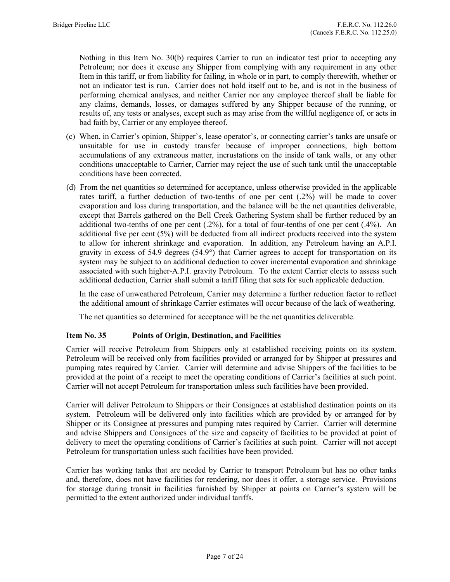Nothing in this Item No. 30(b) requires Carrier to run an indicator test prior to accepting any Petroleum; nor does it excuse any Shipper from complying with any requirement in any other Item in this tariff, or from liability for failing, in whole or in part, to comply therewith, whether or not an indicator test is run. Carrier does not hold itself out to be, and is not in the business of performing chemical analyses, and neither Carrier nor any employee thereof shall be liable for any claims, demands, losses, or damages suffered by any Shipper because of the running, or results of, any tests or analyses, except such as may arise from the willful negligence of, or acts in bad faith by, Carrier or any employee thereof.

- (c) When, in Carrier's opinion, Shipper's, lease operator's, or connecting carrier's tanks are unsafe or unsuitable for use in custody transfer because of improper connections, high bottom accumulations of any extraneous matter, incrustations on the inside of tank walls, or any other conditions unacceptable to Carrier, Carrier may reject the use of such tank until the unacceptable conditions have been corrected.
- (d) From the net quantities so determined for acceptance, unless otherwise provided in the applicable rates tariff, a further deduction of two-tenths of one per cent (.2%) will be made to cover evaporation and loss during transportation, and the balance will be the net quantities deliverable, except that Barrels gathered on the Bell Creek Gathering System shall be further reduced by an additional two-tenths of one per cent (.2%), for a total of four-tenths of one per cent (.4%). An additional five per cent (5%) will be deducted from all indirect products received into the system to allow for inherent shrinkage and evaporation. In addition, any Petroleum having an A.P.I. gravity in excess of 54.9 degrees (54.9°) that Carrier agrees to accept for transportation on its system may be subject to an additional deduction to cover incremental evaporation and shrinkage associated with such higher-A.P.I. gravity Petroleum. To the extent Carrier elects to assess such additional deduction, Carrier shall submit a tariff filing that sets for such applicable deduction.

 In the case of unweathered Petroleum, Carrier may determine a further reduction factor to reflect the additional amount of shrinkage Carrier estimates will occur because of the lack of weathering.

The net quantities so determined for acceptance will be the net quantities deliverable.

## Item No. 35 Points of Origin, Destination, and Facilities

Carrier will receive Petroleum from Shippers only at established receiving points on its system. Petroleum will be received only from facilities provided or arranged for by Shipper at pressures and pumping rates required by Carrier. Carrier will determine and advise Shippers of the facilities to be provided at the point of a receipt to meet the operating conditions of Carrier's facilities at such point. Carrier will not accept Petroleum for transportation unless such facilities have been provided.

Carrier will deliver Petroleum to Shippers or their Consignees at established destination points on its system. Petroleum will be delivered only into facilities which are provided by or arranged for by Shipper or its Consignee at pressures and pumping rates required by Carrier. Carrier will determine and advise Shippers and Consignees of the size and capacity of facilities to be provided at point of delivery to meet the operating conditions of Carrier's facilities at such point. Carrier will not accept Petroleum for transportation unless such facilities have been provided.

Carrier has working tanks that are needed by Carrier to transport Petroleum but has no other tanks and, therefore, does not have facilities for rendering, nor does it offer, a storage service. Provisions for storage during transit in facilities furnished by Shipper at points on Carrier's system will be permitted to the extent authorized under individual tariffs.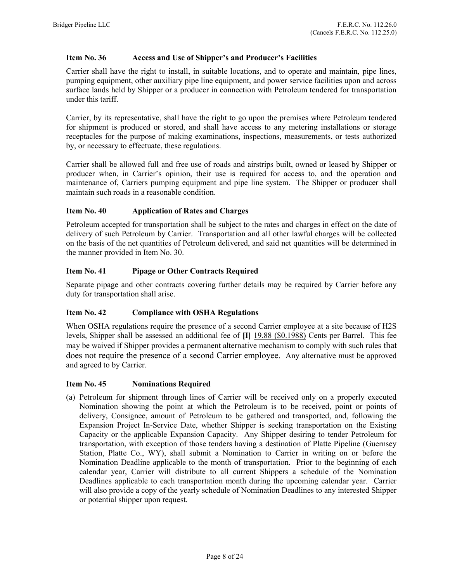# Item No. 36 Access and Use of Shipper's and Producer's Facilities

Carrier shall have the right to install, in suitable locations, and to operate and maintain, pipe lines, pumping equipment, other auxiliary pipe line equipment, and power service facilities upon and across surface lands held by Shipper or a producer in connection with Petroleum tendered for transportation under this tariff.

Carrier, by its representative, shall have the right to go upon the premises where Petroleum tendered for shipment is produced or stored, and shall have access to any metering installations or storage receptacles for the purpose of making examinations, inspections, measurements, or tests authorized by, or necessary to effectuate, these regulations.

Carrier shall be allowed full and free use of roads and airstrips built, owned or leased by Shipper or producer when, in Carrier's opinion, their use is required for access to, and the operation and maintenance of, Carriers pumping equipment and pipe line system. The Shipper or producer shall maintain such roads in a reasonable condition.

## Item No. 40 Application of Rates and Charges

Petroleum accepted for transportation shall be subject to the rates and charges in effect on the date of delivery of such Petroleum by Carrier. Transportation and all other lawful charges will be collected on the basis of the net quantities of Petroleum delivered, and said net quantities will be determined in the manner provided in Item No. 30.

## Item No. 41 Pipage or Other Contracts Required

Separate pipage and other contracts covering further details may be required by Carrier before any duty for transportation shall arise.

## Item No. 42 Compliance with OSHA Regulations

When OSHA regulations require the presence of a second Carrier employee at a site because of H2S levels, Shipper shall be assessed an additional fee of [I] 19.88 (\$0.1988) Cents per Barrel. This fee may be waived if Shipper provides a permanent alternative mechanism to comply with such rules that does not require the presence of a second Carrier employee. Any alternative must be approved and agreed to by Carrier.

## Item No. 45 Nominations Required

(a) Petroleum for shipment through lines of Carrier will be received only on a properly executed Nomination showing the point at which the Petroleum is to be received, point or points of delivery, Consignee, amount of Petroleum to be gathered and transported, and, following the Expansion Project In-Service Date, whether Shipper is seeking transportation on the Existing Capacity or the applicable Expansion Capacity. Any Shipper desiring to tender Petroleum for transportation, with exception of those tenders having a destination of Platte Pipeline (Guernsey Station, Platte Co., WY), shall submit a Nomination to Carrier in writing on or before the Nomination Deadline applicable to the month of transportation. Prior to the beginning of each calendar year, Carrier will distribute to all current Shippers a schedule of the Nomination Deadlines applicable to each transportation month during the upcoming calendar year. Carrier will also provide a copy of the yearly schedule of Nomination Deadlines to any interested Shipper or potential shipper upon request.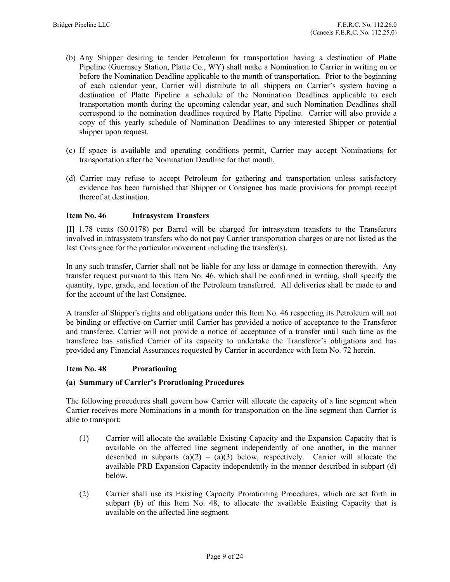- (b) Any Shipper desiring to tender Petroleum for transportation having a destination of Platte Pipeline (Guernsey Station, Platte Co., WY) shall make a Nomination to Carrier in writing on or before the Nomination Deadline applicable to the month of transportation. Prior to the beginning of each calendar year, Carrier will distribute to all shippers on Carrier's system having a destination of Platte Pipeline a schedule of the Nomination Deadlines applicable to each transportation month during the upcoming calendar year, and such Nomination Deadlines shall correspond to the nomination deadlines required by Platte Pipeline. Carrier will also provide a copy of this yearly schedule of Nomination Deadlines to any interested Shipper or potential shipper upon request.
- (c) If space is available and operating conditions permit, Carrier may accept Nominations for transportation after the Nomination Deadline for that month.
- (d) Carrier may refuse to accept Petroleum for gathering and transportation unless satisfactory evidence has been furnished that Shipper or Consignee has made provisions for prompt receipt thereof at destination.

### Item No. 46 Intrasystem Transfers

[I] 1.78 cents (\$0.0178) per Barrel will be charged for intrasystem transfers to the Transferors involved in intrasystem transfers who do not pay Carrier transportation charges or are not listed as the last Consignee for the particular movement including the transfer(s).

In any such transfer, Carrier shall not be liable for any loss or damage in connection therewith. Any transfer request pursuant to this Item No. 46, which shall be confirmed in writing, shall specify the quantity, type, grade, and location of the Petroleum transferred. All deliveries shall be made to and for the account of the last Consignee.

A transfer of Shipper's rights and obligations under this Item No. 46 respecting its Petroleum will not be binding or effective on Carrier until Carrier has provided a notice of acceptance to the Transferor and transferee. Carrier will not provide a notice of acceptance of a transfer until such time as the transferee has satisfied Carrier of its capacity to undertake the Transferor's obligations and has provided any Financial Assurances requested by Carrier in accordance with Item No. 72 herein.

#### Item No. 48 Prorationing

#### (a) Summary of Carrier's Prorationing Procedures

The following procedures shall govern how Carrier will allocate the capacity of a line segment when Carrier receives more Nominations in a month for transportation on the line segment than Carrier is able to transport:

- (1) Carrier will allocate the available Existing Capacity and the Expansion Capacity that is available on the affected line segment independently of one another, in the manner described in subparts  $(a)(2) - (a)(3)$  below, respectively. Carrier will allocate the available PRB Expansion Capacity independently in the manner described in subpart (d) below.
- (2) Carrier shall use its Existing Capacity Prorationing Procedures, which are set forth in subpart (b) of this Item No. 48, to allocate the available Existing Capacity that is available on the affected line segment.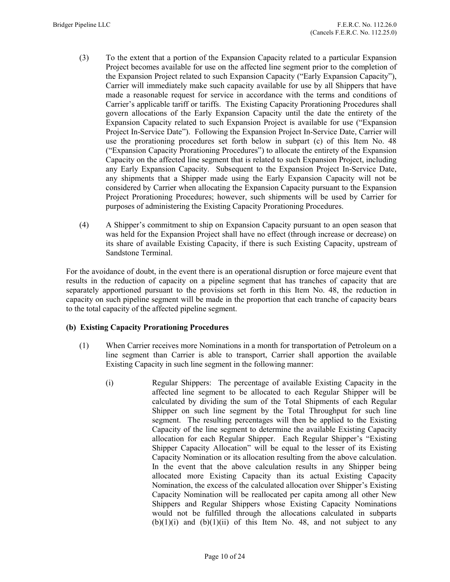- (3) To the extent that a portion of the Expansion Capacity related to a particular Expansion Project becomes available for use on the affected line segment prior to the completion of the Expansion Project related to such Expansion Capacity ("Early Expansion Capacity"), Carrier will immediately make such capacity available for use by all Shippers that have made a reasonable request for service in accordance with the terms and conditions of Carrier's applicable tariff or tariffs. The Existing Capacity Prorationing Procedures shall govern allocations of the Early Expansion Capacity until the date the entirety of the Expansion Capacity related to such Expansion Project is available for use ("Expansion Project In-Service Date"). Following the Expansion Project In-Service Date, Carrier will use the prorationing procedures set forth below in subpart (c) of this Item No. 48 ("Expansion Capacity Prorationing Procedures") to allocate the entirety of the Expansion Capacity on the affected line segment that is related to such Expansion Project, including any Early Expansion Capacity. Subsequent to the Expansion Project In-Service Date, any shipments that a Shipper made using the Early Expansion Capacity will not be considered by Carrier when allocating the Expansion Capacity pursuant to the Expansion Project Prorationing Procedures; however, such shipments will be used by Carrier for purposes of administering the Existing Capacity Prorationing Procedures.
- (4) A Shipper's commitment to ship on Expansion Capacity pursuant to an open season that was held for the Expansion Project shall have no effect (through increase or decrease) on its share of available Existing Capacity, if there is such Existing Capacity, upstream of Sandstone Terminal.

For the avoidance of doubt, in the event there is an operational disruption or force majeure event that results in the reduction of capacity on a pipeline segment that has tranches of capacity that are separately apportioned pursuant to the provisions set forth in this Item No. 48, the reduction in capacity on such pipeline segment will be made in the proportion that each tranche of capacity bears to the total capacity of the affected pipeline segment.

## (b) Existing Capacity Prorationing Procedures

- (1) When Carrier receives more Nominations in a month for transportation of Petroleum on a line segment than Carrier is able to transport, Carrier shall apportion the available Existing Capacity in such line segment in the following manner:
	- (i) Regular Shippers: The percentage of available Existing Capacity in the affected line segment to be allocated to each Regular Shipper will be calculated by dividing the sum of the Total Shipments of each Regular Shipper on such line segment by the Total Throughput for such line segment. The resulting percentages will then be applied to the Existing Capacity of the line segment to determine the available Existing Capacity allocation for each Regular Shipper. Each Regular Shipper's "Existing Shipper Capacity Allocation" will be equal to the lesser of its Existing Capacity Nomination or its allocation resulting from the above calculation. In the event that the above calculation results in any Shipper being allocated more Existing Capacity than its actual Existing Capacity Nomination, the excess of the calculated allocation over Shipper's Existing Capacity Nomination will be reallocated per capita among all other New Shippers and Regular Shippers whose Existing Capacity Nominations would not be fulfilled through the allocations calculated in subparts  $(b)(1)(i)$  and  $(b)(1)(ii)$  of this Item No. 48, and not subject to any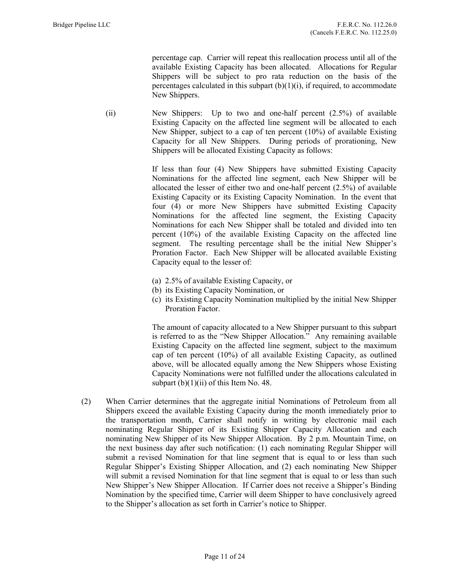percentage cap. Carrier will repeat this reallocation process until all of the available Existing Capacity has been allocated. Allocations for Regular Shippers will be subject to pro rata reduction on the basis of the percentages calculated in this subpart  $(b)(1)(i)$ , if required, to accommodate New Shippers.

(ii) New Shippers: Up to two and one-half percent (2.5%) of available Existing Capacity on the affected line segment will be allocated to each New Shipper, subject to a cap of ten percent (10%) of available Existing Capacity for all New Shippers. During periods of prorationing, New Shippers will be allocated Existing Capacity as follows:

> If less than four (4) New Shippers have submitted Existing Capacity Nominations for the affected line segment, each New Shipper will be allocated the lesser of either two and one-half percent (2.5%) of available Existing Capacity or its Existing Capacity Nomination. In the event that four (4) or more New Shippers have submitted Existing Capacity Nominations for the affected line segment, the Existing Capacity Nominations for each New Shipper shall be totaled and divided into ten percent (10%) of the available Existing Capacity on the affected line segment. The resulting percentage shall be the initial New Shipper's Proration Factor. Each New Shipper will be allocated available Existing Capacity equal to the lesser of:

- (a) 2.5% of available Existing Capacity, or
- (b) its Existing Capacity Nomination, or
- (c) its Existing Capacity Nomination multiplied by the initial New Shipper Proration Factor.

The amount of capacity allocated to a New Shipper pursuant to this subpart is referred to as the "New Shipper Allocation." Any remaining available Existing Capacity on the affected line segment, subject to the maximum cap of ten percent (10%) of all available Existing Capacity, as outlined above, will be allocated equally among the New Shippers whose Existing Capacity Nominations were not fulfilled under the allocations calculated in subpart  $(b)(1)(ii)$  of this Item No. 48.

 (2) When Carrier determines that the aggregate initial Nominations of Petroleum from all Shippers exceed the available Existing Capacity during the month immediately prior to the transportation month, Carrier shall notify in writing by electronic mail each nominating Regular Shipper of its Existing Shipper Capacity Allocation and each nominating New Shipper of its New Shipper Allocation. By 2 p.m. Mountain Time, on the next business day after such notification: (1) each nominating Regular Shipper will submit a revised Nomination for that line segment that is equal to or less than such Regular Shipper's Existing Shipper Allocation, and (2) each nominating New Shipper will submit a revised Nomination for that line segment that is equal to or less than such New Shipper's New Shipper Allocation. If Carrier does not receive a Shipper's Binding Nomination by the specified time, Carrier will deem Shipper to have conclusively agreed to the Shipper's allocation as set forth in Carrier's notice to Shipper.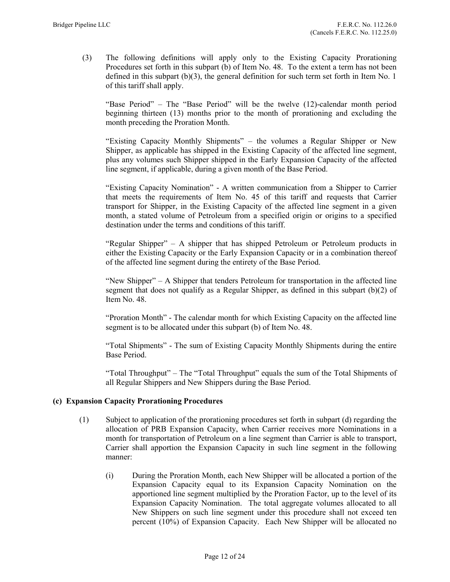(3) The following definitions will apply only to the Existing Capacity Prorationing Procedures set forth in this subpart (b) of Item No. 48. To the extent a term has not been defined in this subpart  $(b)(3)$ , the general definition for such term set forth in Item No. 1 of this tariff shall apply.

"Base Period" – The "Base Period" will be the twelve (12)-calendar month period beginning thirteen (13) months prior to the month of prorationing and excluding the month preceding the Proration Month.

"Existing Capacity Monthly Shipments" – the volumes a Regular Shipper or New Shipper, as applicable has shipped in the Existing Capacity of the affected line segment, plus any volumes such Shipper shipped in the Early Expansion Capacity of the affected line segment, if applicable, during a given month of the Base Period.

"Existing Capacity Nomination" - A written communication from a Shipper to Carrier that meets the requirements of Item No. 45 of this tariff and requests that Carrier transport for Shipper, in the Existing Capacity of the affected line segment in a given month, a stated volume of Petroleum from a specified origin or origins to a specified destination under the terms and conditions of this tariff.

"Regular Shipper" – A shipper that has shipped Petroleum or Petroleum products in either the Existing Capacity or the Early Expansion Capacity or in a combination thereof of the affected line segment during the entirety of the Base Period.

"New Shipper" – A Shipper that tenders Petroleum for transportation in the affected line segment that does not qualify as a Regular Shipper, as defined in this subpart (b)(2) of Item No. 48.

"Proration Month" - The calendar month for which Existing Capacity on the affected line segment is to be allocated under this subpart (b) of Item No. 48.

"Total Shipments" - The sum of Existing Capacity Monthly Shipments during the entire Base Period.

"Total Throughput" – The "Total Throughput" equals the sum of the Total Shipments of all Regular Shippers and New Shippers during the Base Period.

## (c) Expansion Capacity Prorationing Procedures

- (1) Subject to application of the prorationing procedures set forth in subpart (d) regarding the allocation of PRB Expansion Capacity, when Carrier receives more Nominations in a month for transportation of Petroleum on a line segment than Carrier is able to transport, Carrier shall apportion the Expansion Capacity in such line segment in the following manner:
	- (i) During the Proration Month, each New Shipper will be allocated a portion of the Expansion Capacity equal to its Expansion Capacity Nomination on the apportioned line segment multiplied by the Proration Factor, up to the level of its Expansion Capacity Nomination. The total aggregate volumes allocated to all New Shippers on such line segment under this procedure shall not exceed ten percent (10%) of Expansion Capacity. Each New Shipper will be allocated no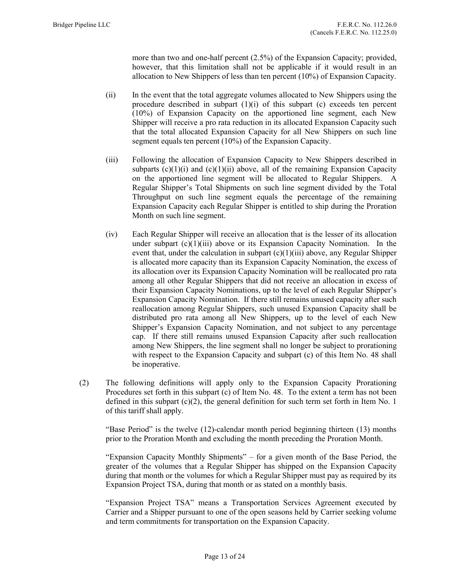more than two and one-half percent (2.5%) of the Expansion Capacity; provided, however, that this limitation shall not be applicable if it would result in an allocation to New Shippers of less than ten percent (10%) of Expansion Capacity.

- (ii) In the event that the total aggregate volumes allocated to New Shippers using the procedure described in subpart  $(1)(i)$  of this subpart  $(c)$  exceeds ten percent (10%) of Expansion Capacity on the apportioned line segment, each New Shipper will receive a pro rata reduction in its allocated Expansion Capacity such that the total allocated Expansion Capacity for all New Shippers on such line segment equals ten percent (10%) of the Expansion Capacity.
- (iii) Following the allocation of Expansion Capacity to New Shippers described in subparts  $(c)(1)(i)$  and  $(c)(1)(ii)$  above, all of the remaining Expansion Capacity on the apportioned line segment will be allocated to Regular Shippers. A Regular Shipper's Total Shipments on such line segment divided by the Total Throughput on such line segment equals the percentage of the remaining Expansion Capacity each Regular Shipper is entitled to ship during the Proration Month on such line segment.
- (iv) Each Regular Shipper will receive an allocation that is the lesser of its allocation under subpart  $(c)(1)(iii)$  above or its Expansion Capacity Nomination. In the event that, under the calculation in subpart  $(c)(1)(iii)$  above, any Regular Shipper is allocated more capacity than its Expansion Capacity Nomination, the excess of its allocation over its Expansion Capacity Nomination will be reallocated pro rata among all other Regular Shippers that did not receive an allocation in excess of their Expansion Capacity Nominations, up to the level of each Regular Shipper's Expansion Capacity Nomination. If there still remains unused capacity after such reallocation among Regular Shippers, such unused Expansion Capacity shall be distributed pro rata among all New Shippers, up to the level of each New Shipper's Expansion Capacity Nomination, and not subject to any percentage cap. If there still remains unused Expansion Capacity after such reallocation among New Shippers, the line segment shall no longer be subject to prorationing with respect to the Expansion Capacity and subpart (c) of this Item No. 48 shall be inoperative.
- (2) The following definitions will apply only to the Expansion Capacity Prorationing Procedures set forth in this subpart (c) of Item No. 48. To the extent a term has not been defined in this subpart  $(c)(2)$ , the general definition for such term set forth in Item No. 1 of this tariff shall apply.

"Base Period" is the twelve (12)-calendar month period beginning thirteen (13) months prior to the Proration Month and excluding the month preceding the Proration Month.

"Expansion Capacity Monthly Shipments" – for a given month of the Base Period, the greater of the volumes that a Regular Shipper has shipped on the Expansion Capacity during that month or the volumes for which a Regular Shipper must pay as required by its Expansion Project TSA, during that month or as stated on a monthly basis.

"Expansion Project TSA" means a Transportation Services Agreement executed by Carrier and a Shipper pursuant to one of the open seasons held by Carrier seeking volume and term commitments for transportation on the Expansion Capacity.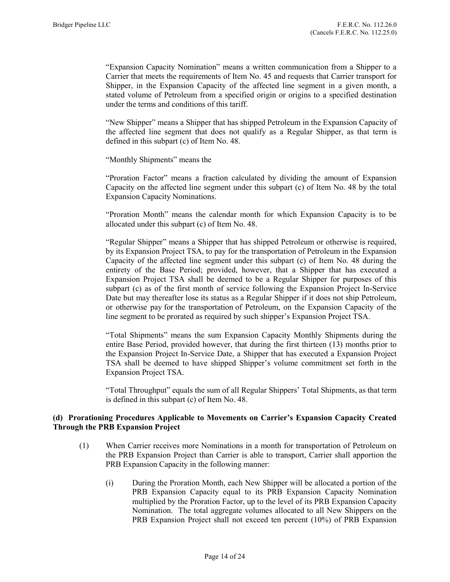"Expansion Capacity Nomination" means a written communication from a Shipper to a Carrier that meets the requirements of Item No. 45 and requests that Carrier transport for Shipper, in the Expansion Capacity of the affected line segment in a given month, a stated volume of Petroleum from a specified origin or origins to a specified destination under the terms and conditions of this tariff.

"New Shipper" means a Shipper that has shipped Petroleum in the Expansion Capacity of the affected line segment that does not qualify as a Regular Shipper, as that term is defined in this subpart (c) of Item No. 48.

"Monthly Shipments" means the

"Proration Factor" means a fraction calculated by dividing the amount of Expansion Capacity on the affected line segment under this subpart (c) of Item No. 48 by the total Expansion Capacity Nominations.

"Proration Month" means the calendar month for which Expansion Capacity is to be allocated under this subpart (c) of Item No. 48.

"Regular Shipper" means a Shipper that has shipped Petroleum or otherwise is required, by its Expansion Project TSA, to pay for the transportation of Petroleum in the Expansion Capacity of the affected line segment under this subpart (c) of Item No. 48 during the entirety of the Base Period; provided, however, that a Shipper that has executed a Expansion Project TSA shall be deemed to be a Regular Shipper for purposes of this subpart (c) as of the first month of service following the Expansion Project In-Service Date but may thereafter lose its status as a Regular Shipper if it does not ship Petroleum, or otherwise pay for the transportation of Petroleum, on the Expansion Capacity of the line segment to be prorated as required by such shipper's Expansion Project TSA.

"Total Shipments" means the sum Expansion Capacity Monthly Shipments during the entire Base Period, provided however, that during the first thirteen (13) months prior to the Expansion Project In-Service Date, a Shipper that has executed a Expansion Project TSA shall be deemed to have shipped Shipper's volume commitment set forth in the Expansion Project TSA.

"Total Throughput" equals the sum of all Regular Shippers' Total Shipments, as that term is defined in this subpart (c) of Item No. 48.

## (d) Prorationing Procedures Applicable to Movements on Carrier's Expansion Capacity Created Through the PRB Expansion Project

- (1) When Carrier receives more Nominations in a month for transportation of Petroleum on the PRB Expansion Project than Carrier is able to transport, Carrier shall apportion the PRB Expansion Capacity in the following manner:
	- (i) During the Proration Month, each New Shipper will be allocated a portion of the PRB Expansion Capacity equal to its PRB Expansion Capacity Nomination multiplied by the Proration Factor, up to the level of its PRB Expansion Capacity Nomination. The total aggregate volumes allocated to all New Shippers on the PRB Expansion Project shall not exceed ten percent (10%) of PRB Expansion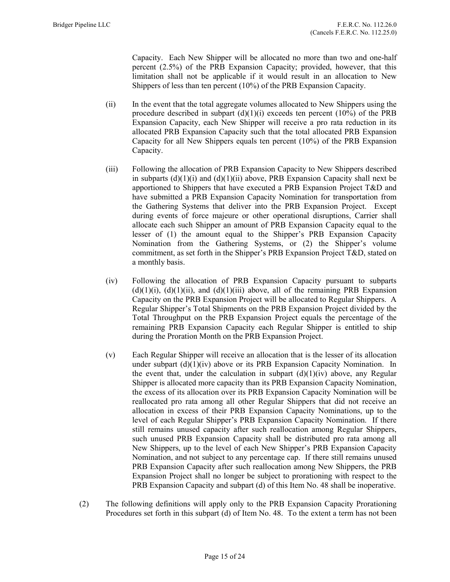Capacity. Each New Shipper will be allocated no more than two and one-half percent (2.5%) of the PRB Expansion Capacity; provided, however, that this limitation shall not be applicable if it would result in an allocation to New Shippers of less than ten percent (10%) of the PRB Expansion Capacity.

- (ii) In the event that the total aggregate volumes allocated to New Shippers using the procedure described in subpart  $(d)(1)(i)$  exceeds ten percent  $(10\%)$  of the PRB Expansion Capacity, each New Shipper will receive a pro rata reduction in its allocated PRB Expansion Capacity such that the total allocated PRB Expansion Capacity for all New Shippers equals ten percent (10%) of the PRB Expansion Capacity.
- (iii) Following the allocation of PRB Expansion Capacity to New Shippers described in subparts  $(d)(1)(i)$  and  $(d)(1)(ii)$  above, PRB Expansion Capacity shall next be apportioned to Shippers that have executed a PRB Expansion Project T&D and have submitted a PRB Expansion Capacity Nomination for transportation from the Gathering Systems that deliver into the PRB Expansion Project. Except during events of force majeure or other operational disruptions, Carrier shall allocate each such Shipper an amount of PRB Expansion Capacity equal to the lesser of (1) the amount equal to the Shipper's PRB Expansion Capacity Nomination from the Gathering Systems, or (2) the Shipper's volume commitment, as set forth in the Shipper's PRB Expansion Project T&D, stated on a monthly basis.
- (iv) Following the allocation of PRB Expansion Capacity pursuant to subparts  $(d)(1)(i)$ ,  $(d)(1)(ii)$ , and  $(d)(1)(iii)$  above, all of the remaining PRB Expansion Capacity on the PRB Expansion Project will be allocated to Regular Shippers. A Regular Shipper's Total Shipments on the PRB Expansion Project divided by the Total Throughput on the PRB Expansion Project equals the percentage of the remaining PRB Expansion Capacity each Regular Shipper is entitled to ship during the Proration Month on the PRB Expansion Project.
- (v) Each Regular Shipper will receive an allocation that is the lesser of its allocation under subpart  $(d)(1)(iv)$  above or its PRB Expansion Capacity Nomination. In the event that, under the calculation in subpart  $(d)(1)(iv)$  above, any Regular Shipper is allocated more capacity than its PRB Expansion Capacity Nomination, the excess of its allocation over its PRB Expansion Capacity Nomination will be reallocated pro rata among all other Regular Shippers that did not receive an allocation in excess of their PRB Expansion Capacity Nominations, up to the level of each Regular Shipper's PRB Expansion Capacity Nomination. If there still remains unused capacity after such reallocation among Regular Shippers, such unused PRB Expansion Capacity shall be distributed pro rata among all New Shippers, up to the level of each New Shipper's PRB Expansion Capacity Nomination, and not subject to any percentage cap. If there still remains unused PRB Expansion Capacity after such reallocation among New Shippers, the PRB Expansion Project shall no longer be subject to prorationing with respect to the PRB Expansion Capacity and subpart (d) of this Item No. 48 shall be inoperative.
- (2) The following definitions will apply only to the PRB Expansion Capacity Prorationing Procedures set forth in this subpart (d) of Item No. 48. To the extent a term has not been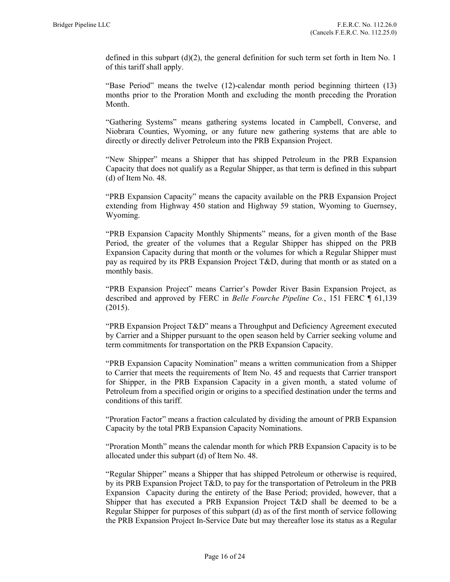defined in this subpart  $(d)(2)$ , the general definition for such term set forth in Item No. 1 of this tariff shall apply.

"Base Period" means the twelve (12)-calendar month period beginning thirteen (13) months prior to the Proration Month and excluding the month preceding the Proration Month.

"Gathering Systems" means gathering systems located in Campbell, Converse, and Niobrara Counties, Wyoming, or any future new gathering systems that are able to directly or directly deliver Petroleum into the PRB Expansion Project.

"New Shipper" means a Shipper that has shipped Petroleum in the PRB Expansion Capacity that does not qualify as a Regular Shipper, as that term is defined in this subpart (d) of Item No. 48.

"PRB Expansion Capacity" means the capacity available on the PRB Expansion Project extending from Highway 450 station and Highway 59 station, Wyoming to Guernsey, Wyoming.

"PRB Expansion Capacity Monthly Shipments" means, for a given month of the Base Period, the greater of the volumes that a Regular Shipper has shipped on the PRB Expansion Capacity during that month or the volumes for which a Regular Shipper must pay as required by its PRB Expansion Project T&D, during that month or as stated on a monthly basis.

"PRB Expansion Project" means Carrier's Powder River Basin Expansion Project, as described and approved by FERC in Belle Fourche Pipeline Co., 151 FERC ¶ 61,139 (2015).

"PRB Expansion Project T&D" means a Throughput and Deficiency Agreement executed by Carrier and a Shipper pursuant to the open season held by Carrier seeking volume and term commitments for transportation on the PRB Expansion Capacity.

"PRB Expansion Capacity Nomination" means a written communication from a Shipper to Carrier that meets the requirements of Item No. 45 and requests that Carrier transport for Shipper, in the PRB Expansion Capacity in a given month, a stated volume of Petroleum from a specified origin or origins to a specified destination under the terms and conditions of this tariff.

"Proration Factor" means a fraction calculated by dividing the amount of PRB Expansion Capacity by the total PRB Expansion Capacity Nominations.

"Proration Month" means the calendar month for which PRB Expansion Capacity is to be allocated under this subpart (d) of Item No. 48.

"Regular Shipper" means a Shipper that has shipped Petroleum or otherwise is required, by its PRB Expansion Project T&D, to pay for the transportation of Petroleum in the PRB Expansion Capacity during the entirety of the Base Period; provided, however, that a Shipper that has executed a PRB Expansion Project T&D shall be deemed to be a Regular Shipper for purposes of this subpart (d) as of the first month of service following the PRB Expansion Project In-Service Date but may thereafter lose its status as a Regular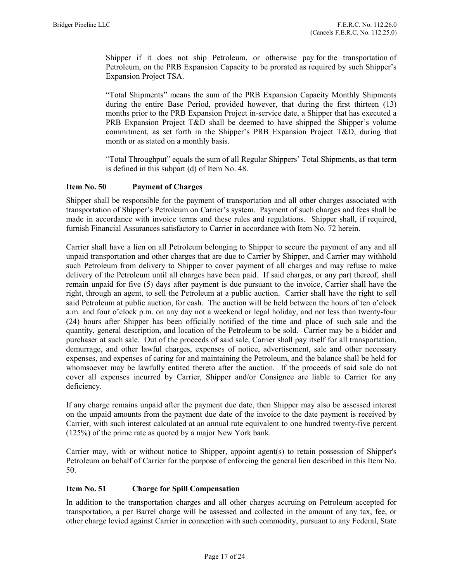Shipper if it does not ship Petroleum, or otherwise pay for the transportation of Petroleum, on the PRB Expansion Capacity to be prorated as required by such Shipper's Expansion Project TSA.

"Total Shipments" means the sum of the PRB Expansion Capacity Monthly Shipments during the entire Base Period, provided however, that during the first thirteen (13) months prior to the PRB Expansion Project in-service date, a Shipper that has executed a PRB Expansion Project T&D shall be deemed to have shipped the Shipper's volume commitment, as set forth in the Shipper's PRB Expansion Project T&D, during that month or as stated on a monthly basis.

"Total Throughput" equals the sum of all Regular Shippers' Total Shipments, as that term is defined in this subpart (d) of Item No. 48.

## Item No. 50 Payment of Charges

Shipper shall be responsible for the payment of transportation and all other charges associated with transportation of Shipper's Petroleum on Carrier's system. Payment of such charges and fees shall be made in accordance with invoice terms and these rules and regulations. Shipper shall, if required, furnish Financial Assurances satisfactory to Carrier in accordance with Item No. 72 herein.

Carrier shall have a lien on all Petroleum belonging to Shipper to secure the payment of any and all unpaid transportation and other charges that are due to Carrier by Shipper, and Carrier may withhold such Petroleum from delivery to Shipper to cover payment of all charges and may refuse to make delivery of the Petroleum until all charges have been paid. If said charges, or any part thereof, shall remain unpaid for five (5) days after payment is due pursuant to the invoice, Carrier shall have the right, through an agent, to sell the Petroleum at a public auction. Carrier shall have the right to sell said Petroleum at public auction, for cash. The auction will be held between the hours of ten o'clock a.m. and four o'clock p.m. on any day not a weekend or legal holiday, and not less than twenty-four (24) hours after Shipper has been officially notified of the time and place of such sale and the quantity, general description, and location of the Petroleum to be sold. Carrier may be a bidder and purchaser at such sale. Out of the proceeds of said sale, Carrier shall pay itself for all transportation, demurrage, and other lawful charges, expenses of notice, advertisement, sale and other necessary expenses, and expenses of caring for and maintaining the Petroleum, and the balance shall be held for whomsoever may be lawfully entited thereto after the auction. If the proceeds of said sale do not cover all expenses incurred by Carrier, Shipper and/or Consignee are liable to Carrier for any deficiency.

If any charge remains unpaid after the payment due date, then Shipper may also be assessed interest on the unpaid amounts from the payment due date of the invoice to the date payment is received by Carrier, with such interest calculated at an annual rate equivalent to one hundred twenty-five percent (125%) of the prime rate as quoted by a major New York bank.

Carrier may, with or without notice to Shipper, appoint agent(s) to retain possession of Shipper's Petroleum on behalf of Carrier for the purpose of enforcing the general lien described in this Item No. 50.

#### Item No. 51 Charge for Spill Compensation

In addition to the transportation charges and all other charges accruing on Petroleum accepted for transportation, a per Barrel charge will be assessed and collected in the amount of any tax, fee, or other charge levied against Carrier in connection with such commodity, pursuant to any Federal, State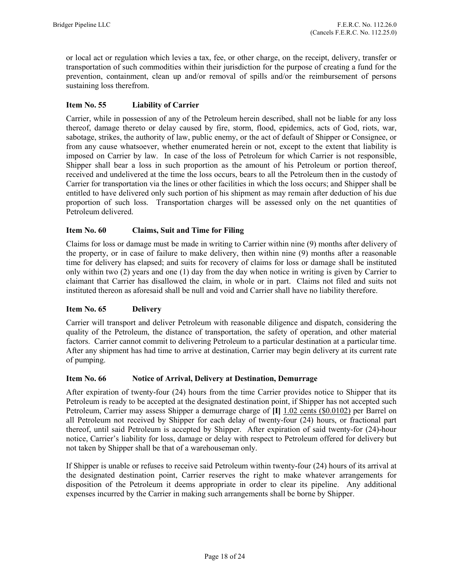or local act or regulation which levies a tax, fee, or other charge, on the receipt, delivery, transfer or transportation of such commodities within their jurisdiction for the purpose of creating a fund for the prevention, containment, clean up and/or removal of spills and/or the reimbursement of persons sustaining loss therefrom.

# Item No. 55 Liability of Carrier

Carrier, while in possession of any of the Petroleum herein described, shall not be liable for any loss thereof, damage thereto or delay caused by fire, storm, flood, epidemics, acts of God, riots, war, sabotage, strikes, the authority of law, public enemy, or the act of default of Shipper or Consignee, or from any cause whatsoever, whether enumerated herein or not, except to the extent that liability is imposed on Carrier by law. In case of the loss of Petroleum for which Carrier is not responsible, Shipper shall bear a loss in such proportion as the amount of his Petroleum or portion thereof, received and undelivered at the time the loss occurs, bears to all the Petroleum then in the custody of Carrier for transportation via the lines or other facilities in which the loss occurs; and Shipper shall be entitled to have delivered only such portion of his shipment as may remain after deduction of his due proportion of such loss. Transportation charges will be assessed only on the net quantities of Petroleum delivered.

## Item No. 60 Claims, Suit and Time for Filing

Claims for loss or damage must be made in writing to Carrier within nine (9) months after delivery of the property, or in case of failure to make delivery, then within nine (9) months after a reasonable time for delivery has elapsed; and suits for recovery of claims for loss or damage shall be instituted only within two (2) years and one (1) day from the day when notice in writing is given by Carrier to claimant that Carrier has disallowed the claim, in whole or in part. Claims not filed and suits not instituted thereon as aforesaid shall be null and void and Carrier shall have no liability therefore.

## Item No. 65 Delivery

Carrier will transport and deliver Petroleum with reasonable diligence and dispatch, considering the quality of the Petroleum, the distance of transportation, the safety of operation, and other material factors. Carrier cannot commit to delivering Petroleum to a particular destination at a particular time. After any shipment has had time to arrive at destination, Carrier may begin delivery at its current rate of pumping.

## Item No. 66 Notice of Arrival, Delivery at Destination, Demurrage

After expiration of twenty-four (24) hours from the time Carrier provides notice to Shipper that its Petroleum is ready to be accepted at the designated destination point, if Shipper has not accepted such Petroleum, Carrier may assess Shipper a demurrage charge of [I] 1.02 cents (\$0.0102) per Barrel on all Petroleum not received by Shipper for each delay of twenty-four (24) hours, or fractional part thereof, until said Petroleum is accepted by Shipper. After expiration of said twenty-for (24)-hour notice, Carrier's liability for loss, damage or delay with respect to Petroleum offered for delivery but not taken by Shipper shall be that of a warehouseman only.

If Shipper is unable or refuses to receive said Petroleum within twenty-four (24) hours of its arrival at the designated destination point, Carrier reserves the right to make whatever arrangements for disposition of the Petroleum it deems appropriate in order to clear its pipeline. Any additional expenses incurred by the Carrier in making such arrangements shall be borne by Shipper.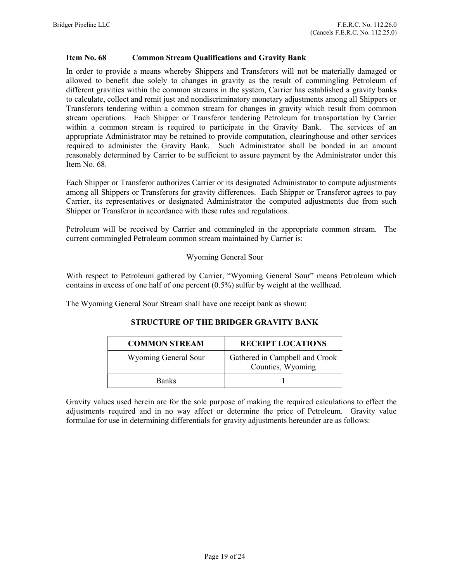### Item No. 68 Common Stream Qualifications and Gravity Bank

In order to provide a means whereby Shippers and Transferors will not be materially damaged or allowed to benefit due solely to changes in gravity as the result of commingling Petroleum of different gravities within the common streams in the system, Carrier has established a gravity banks to calculate, collect and remit just and nondiscriminatory monetary adjustments among all Shippers or Transferors tendering within a common stream for changes in gravity which result from common stream operations. Each Shipper or Transferor tendering Petroleum for transportation by Carrier within a common stream is required to participate in the Gravity Bank. The services of an appropriate Administrator may be retained to provide computation, clearinghouse and other services required to administer the Gravity Bank. Such Administrator shall be bonded in an amount reasonably determined by Carrier to be sufficient to assure payment by the Administrator under this Item No. 68.

Each Shipper or Transferor authorizes Carrier or its designated Administrator to compute adjustments among all Shippers or Transferors for gravity differences. Each Shipper or Transferor agrees to pay Carrier, its representatives or designated Administrator the computed adjustments due from such Shipper or Transferor in accordance with these rules and regulations.

Petroleum will be received by Carrier and commingled in the appropriate common stream. The current commingled Petroleum common stream maintained by Carrier is:

### Wyoming General Sour

With respect to Petroleum gathered by Carrier, "Wyoming General Sour" means Petroleum which contains in excess of one half of one percent (0.5%) sulfur by weight at the wellhead.

The Wyoming General Sour Stream shall have one receipt bank as shown:

#### STRUCTURE OF THE BRIDGER GRAVITY BANK

| <b>COMMON STREAM</b> | <b>RECEIPT LOCATIONS</b>                            |
|----------------------|-----------------------------------------------------|
| Wyoming General Sour | Gathered in Campbell and Crook<br>Counties, Wyoming |
| <b>Banks</b>         |                                                     |

Gravity values used herein are for the sole purpose of making the required calculations to effect the adjustments required and in no way affect or determine the price of Petroleum. Gravity value formulae for use in determining differentials for gravity adjustments hereunder are as follows: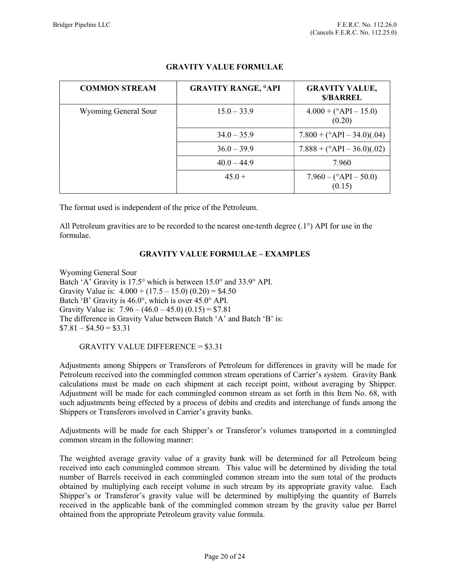| <b>COMMON STREAM</b> | <b>GRAVITY RANGE, °API</b> | <b>GRAVITY VALUE,</b><br><b>\$/BARREL</b> |
|----------------------|----------------------------|-------------------------------------------|
| Wyoming General Sour | $15.0 - 33.9$              | $4.000 + (°API - 15.0)$<br>(0.20)         |
|                      | $34.0 - 35.9$              | $7.800 + (°API - 34.0)(.04)$              |
|                      | $36.0 - 39.9$              | $7.888 + (°API - 36.0)(.02)$              |
|                      | $40.0 - 44.9$              | 7.960                                     |
|                      | $45.0 +$                   | $7.960 - (°API - 50.0)$<br>(0.15)         |

# GRAVITY VALUE FORMULAE

The format used is independent of the price of the Petroleum.

All Petroleum gravities are to be recorded to the nearest one-tenth degree (.1°) API for use in the formulae.

## GRAVITY VALUE FORMULAE – EXAMPLES

Wyoming General Sour Batch 'A' Gravity is 17.5° which is between 15.0° and 33.9° API. Gravity Value is:  $4.000 + (17.5 - 15.0) (0.20) = $4.50$ Batch 'B' Gravity is 46.0°, which is over 45.0° API. Gravity Value is:  $7.96 - (46.0 - 45.0) (0.15) = $7.81$ The difference in Gravity Value between Batch 'A' and Batch 'B' is:  $$7.81 - $4.50 = $3.31$ 

GRAVITY VALUE DIFFERENCE = \$3.31

Adjustments among Shippers or Transferors of Petroleum for differences in gravity will be made for Petroleum received into the commingled common stream operations of Carrier's system. Gravity Bank calculations must be made on each shipment at each receipt point, without averaging by Shipper. Adjustment will be made for each commingled common stream as set forth in this Item No. 68, with such adjustments being effected by a process of debits and credits and interchange of funds among the Shippers or Transferors involved in Carrier's gravity banks.

Adjustments will be made for each Shipper's or Transferor's volumes transported in a commingled common stream in the following manner:

The weighted average gravity value of a gravity bank will be determined for all Petroleum being received into each commingled common stream. This value will be determined by dividing the total number of Barrels received in each commingled common stream into the sum total of the products obtained by multiplying each receipt volume in such stream by its appropriate gravity value. Each Shipper's or Transferor's gravity value will be determined by multiplying the quantity of Barrels received in the applicable bank of the commingled common stream by the gravity value per Barrel obtained from the appropriate Petroleum gravity value formula.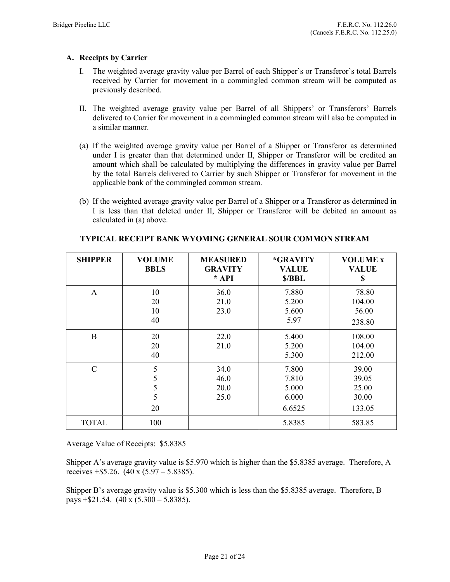## A. Receipts by Carrier

- I. The weighted average gravity value per Barrel of each Shipper's or Transferor's total Barrels received by Carrier for movement in a commingled common stream will be computed as previously described.
- II. The weighted average gravity value per Barrel of all Shippers' or Transferors' Barrels delivered to Carrier for movement in a commingled common stream will also be computed in a similar manner.
- (a) If the weighted average gravity value per Barrel of a Shipper or Transferor as determined under I is greater than that determined under II, Shipper or Transferor will be credited an amount which shall be calculated by multiplying the differences in gravity value per Barrel by the total Barrels delivered to Carrier by such Shipper or Transferor for movement in the applicable bank of the commingled common stream.
- (b) If the weighted average gravity value per Barrel of a Shipper or a Transferor as determined in I is less than that deleted under II, Shipper or Transferor will be debited an amount as calculated in (a) above.

| <b>SHIPPER</b> | <b>VOLUME</b><br><b>BBLS</b> | <b>MEASURED</b><br><b>GRAVITY</b><br>$* API$ | *GRAVITY<br><b>VALUE</b><br>\$/BBL         | <b>VOLUME x</b><br><b>VALUE</b><br>\$      |
|----------------|------------------------------|----------------------------------------------|--------------------------------------------|--------------------------------------------|
| $\mathbf{A}$   | 10<br>20<br>10<br>40         | 36.0<br>21.0<br>23.0                         | 7.880<br>5.200<br>5.600<br>5.97            | 78.80<br>104.00<br>56.00<br>238.80         |
| B              | 20<br>20<br>40               | 22.0<br>21.0                                 | 5.400<br>5.200<br>5.300                    | 108.00<br>104.00<br>212.00                 |
| $\mathbf C$    | 5<br>5<br>5<br>5<br>20       | 34.0<br>46.0<br>20.0<br>25.0                 | 7.800<br>7.810<br>5.000<br>6.000<br>6.6525 | 39.00<br>39.05<br>25.00<br>30.00<br>133.05 |
| <b>TOTAL</b>   | 100                          |                                              | 5.8385                                     | 583.85                                     |

### TYPICAL RECEIPT BANK WYOMING GENERAL SOUR COMMON STREAM

Average Value of Receipts: \$5.8385

Shipper A's average gravity value is \$5.970 which is higher than the \$5.8385 average. Therefore, A receives  $+$ \$5.26. (40 x (5.97 – 5.8385).

Shipper B's average gravity value is \$5.300 which is less than the \$5.8385 average. Therefore, B pays  $+$ \$21.54. (40 x (5.300 – 5.8385).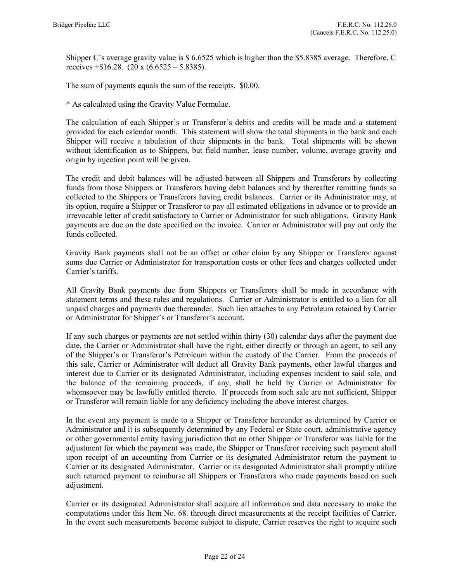Shipper C's average gravity value is \$ 6.6525 which is higher than the \$5.8385 average. Therefore, C receives  $+$ \$16.28. (20 x (6.6525 – 5.8385).

The sum of payments equals the sum of the receipts. \$0.00.

\* As calculated using the Gravity Value Formulae.

The calculation of each Shipper's or Transferor's debits and credits will be made and a statement provided for each calendar month. This statement will show the total shipments in the bank and each Shipper will receive a tabulation of their shipments in the bank. Total shipments will be shown without identification as to Shippers, but field number, lease number, volume, average gravity and origin by injection point will be given.

The credit and debit balances will be adjusted between all Shippers and Transferors by collecting funds from those Shippers or Transferors having debit balances and by thereafter remitting funds so collected to the Shippers or Transferors having credit balances. Carrier or its Administrator may, at its option, require a Shipper or Transferor to pay all estimated obligations in advance or to provide an irrevocable letter of credit satisfactory to Carrier or Administrator for such obligations. Gravity Bank payments are due on the date specified on the invoice. Carrier or Administrator will pay out only the funds collected.

Gravity Bank payments shall not be an offset or other claim by any Shipper or Transferor against sums due Carrier or Administrator for transportation costs or other fees and charges collected under Carrier's tariffs.

All Gravity Bank payments due from Shippers or Transferors shall be made in accordance with statement terms and these rules and regulations. Carrier or Administrator is entitled to a lien for all unpaid charges and payments due thereunder. Such lien attaches to any Petroleum retained by Carrier or Administrator for Shipper's or Transferor's account.

If any such charges or payments are not settled within thirty (30) calendar days after the payment due date, the Carrier or Administrator shall have the right, either directly or through an agent, to sell any of the Shipper's or Transferor's Petroleum within the custody of the Carrier. From the proceeds of this sale, Carrier or Administrator will deduct all Gravity Bank payments, other lawful charges and interest due to Carrier or its designated Administrator, including expenses incident to said sale, and the balance of the remaining proceeds, if any, shall be held by Carrier or Administrator for whomsoever may be lawfully entitled thereto. If proceeds from such sale are not sufficient, Shipper or Transferor will remain liable for any deficiency including the above interest charges.

In the event any payment is made to a Shipper or Transferor hereunder as determined by Carrier or Administrator and it is subsequently determined by any Federal or State court, administrative agency or other governmental entity having jurisdiction that no other Shipper or Transferor was liable for the adjustment for which the payment was made, the Shipper or Transferor receiving such payment shall upon receipt of an accounting from Carrier or its designated Administrator return the payment to Carrier or its designated Administrator. Carrier or its designated Administrator shall promptly utilize such returned payment to reimburse all Shippers or Transferors who made payments based on such adjustment.

Carrier or its designated Administrator shall acquire all information and data necessary to make the computations under this Item No. 68. through direct measurements at the receipt facilities of Carrier. In the event such measurements become subject to dispute, Carrier reserves the right to acquire such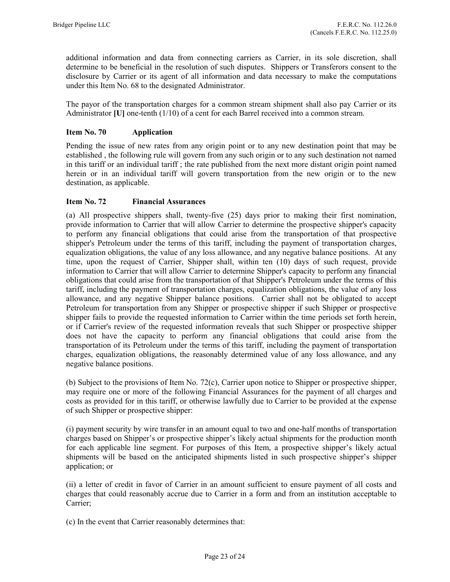additional information and data from connecting carriers as Carrier, in its sole discretion, shall determine to be beneficial in the resolution of such disputes. Shippers or Transferors consent to the disclosure by Carrier or its agent of all information and data necessary to make the computations under this Item No. 68 to the designated Administrator.

The payor of the transportation charges for a common stream shipment shall also pay Carrier or its Administrator [U] one-tenth (1/10) of a cent for each Barrel received into a common stream.

## Item No. 70 Application

Pending the issue of new rates from any origin point or to any new destination point that may be established , the following rule will govern from any such origin or to any such destination not named in this tariff or an individual tariff ; the rate published from the next more distant origin point named herein or in an individual tariff will govern transportation from the new origin or to the new destination, as applicable.

## Item No. 72 Financial Assurances

(a) All prospective shippers shall, twenty-five (25) days prior to making their first nomination, provide information to Carrier that will allow Carrier to determine the prospective shipper's capacity to perform any financial obligations that could arise from the transportation of that prospective shipper's Petroleum under the terms of this tariff, including the payment of transportation charges, equalization obligations, the value of any loss allowance, and any negative balance positions. At any time, upon the request of Carrier, Shipper shall, within ten (10) days of such request, provide information to Carrier that will allow Carrier to determine Shipper's capacity to perform any financial obligations that could arise from the transportation of that Shipper's Petroleum under the terms of this tariff, including the payment of transportation charges, equalization obligations, the value of any loss allowance, and any negative Shipper balance positions. Carrier shall not be obligated to accept Petroleum for transportation from any Shipper or prospective shipper if such Shipper or prospective shipper fails to provide the requested information to Carrier within the time periods set forth herein, or if Carrier's review of the requested information reveals that such Shipper or prospective shipper does not have the capacity to perform any financial obligations that could arise from the transportation of its Petroleum under the terms of this tariff, including the payment of transportation charges, equalization obligations, the reasonably determined value of any loss allowance, and any negative balance positions.

(b) Subject to the provisions of Item No. 72(c), Carrier upon notice to Shipper or prospective shipper, may require one or more of the following Financial Assurances for the payment of all charges and costs as provided for in this tariff, or otherwise lawfully due to Carrier to be provided at the expense of such Shipper or prospective shipper:

(i) payment security by wire transfer in an amount equal to two and one-half months of transportation charges based on Shipper's or prospective shipper's likely actual shipments for the production month for each applicable line segment. For purposes of this Item, a prospective shipper's likely actual shipments will be based on the anticipated shipments listed in such prospective shipper's shipper application; or

(ii) a letter of credit in favor of Carrier in an amount sufficient to ensure payment of all costs and charges that could reasonably accrue due to Carrier in a form and from an institution acceptable to Carrier;

(c) In the event that Carrier reasonably determines that: